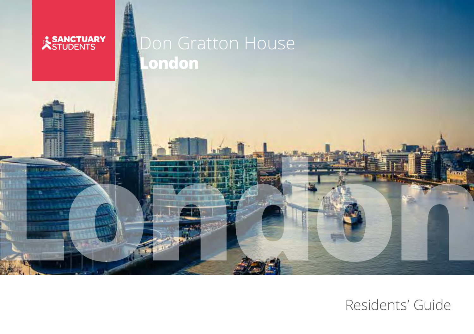

# Don Gratton House **London**

**London** 

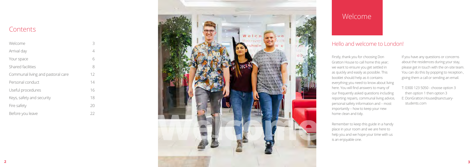

## **Contents**

| Welcome                           | 3  |
|-----------------------------------|----|
| Arrival day                       | 4  |
| Your space                        | 6  |
| Shared facilities                 | 8  |
| Communal living and pastoral care | 12 |
| Personal conduct                  | 14 |
| Useful procedures                 | 16 |
| Keys, safety and security         | 18 |
| Fire safety                       | 20 |
| Before you leave                  | 22 |

Firstly, thank you for choosing Don Gratton House to call home this year; we want to ensure you get settled in as quickly and easily as possible. This booklet should help as it contains everything you need to know about living here. You will find answers to many of our frequently asked questions including reporting repairs, communal living advice, personal safety information and – most importantly – how to keep your new home clean and tidy.

Remember to keep this guide in a handy place in your room and we are here to help you and we hope your time with us is an enjoyable one.

If you have any questions or concerns about the residences during your stay, please get in touch with the on-site team. You can do this by popping to reception , giving them a call or sending an email.

T: 0300 123 5050 - choose option 3 then option 1 then option 3 E: DonGratton.House@sanctuarystudents.com

# Welcome

#### Hello and welcome to London!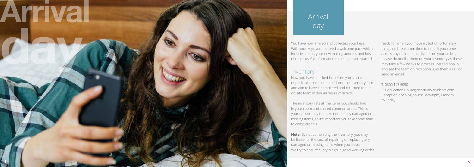# Arrival

day arrived and collected your keys.<br>Now have now arrived and collected your keys.<br>In the collected your keys you received a welcome pack with your keys you received a welcome pack with the perty ou star<br>In the collected y With your keys you received a welcome pack which includes maps, your new mailing address and lots of other useful information to help get you started.

#### Inventory

Now you have checked in, before you start to unpack take some time to fill out the inventory form and aim to have it completed and returned to our on-site team within 48 hours of arrival.

The inventory lists all the items you should find in your room and shared common areas. This is your opportunity to make note of any damaged or missing items, so it's important you take some time to complete this.

**Note:** By not completing the inventory, you may be liable for the cost of repairing or replacing any damaged or missing items when you leave. We try to ensure everything's in good working order

ready for when you move in, but unfortunately things do break from time to time. If you come across any maintenance issues on your arrival, please do not list them on your inventory as these may take a few weeks to process. Instead pop in and see the team on reception, give them a call or send an email:

T: 0300 123 5050 E: DonGratton.House@sanctuary-students.com Reception opening hours: 8am-8pm, Monday to Friday

# Arrival day

**4**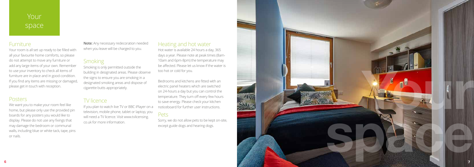Your room is all set up ready to be filled with all your favourite home comforts, so please do not attempt to move any furniture or add any large items of your own. Remember to use your inventory to check all items of furniture are in place and in good condition. If you find any items are missing or damaged, please get in touch with reception.

#### Posters

We want you to make your room feel like home, but please only use the provided pin boards for any posters you would like to display. Please do not use any fixings that may damage the bedroom or communal walls, including blue or white tack, tape, pins or nails.

If you plan to watch live TV or BBC iPlayer on a television, mobile phone, tablet or laptop, you will need a TV licence. Visit www.tvlicensing. co.uk for more information.

**Note:** Any necessary redecoration needed when you leave will be charged to you.

#### **Smoking**

Smoking is only permitted outside the building in designated areas. Please observe the signs to ensure you are smoking in a designated smoking areas and dispose of cigarette butts appropriately.



#### TV licence

# Your space

#### **Furniture**

#### Heating and hot water

Hot water is available 24 hours a day, 365 days a year. Please note at peak times (8am-10am and 6pm-8pm) the temperature may be affected. Please let us know if the water is too hot or cold for you.

Bedrooms and kitchens are fitted with an electric panel heaters which are switched on 24-hours a day but you can control the temperature. They turn off every few hours to save energy. Please check your kitchen noticeboard for further user instructions.

#### Pets

Sorry, we do not allow pets to be kept on-site, except guide dogs and hearing dogs.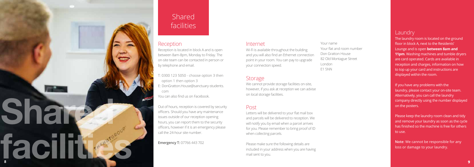Reception is located in block A and is open between 8am-8pm, Monday to Friday. The on-site team can be contacted in person or by telephone and email.

- T: 0300 123 5050 choose option 3 then option 1 then option 3
- E: DonGratton.House@sanctuary-students. com
- You can also find us on Facebook.

Out of hours, reception is covered by security officers. Should you have any maintenance issues outside of our reception opening hours, you can report them to the security officers, however if it is an emergency please call the 24-hour site number.

The laundry room is located on the ground floor in block A, next to the Residents' Lounge and is open **between 8am and 11pm**. Washing machines and tumble dryers are card operated. Cards are available in reception and charges, information on how to top up your card and instructions are displayed within the room.

**Emergency T:** 07766 443 702

# **Shared** facilities

#### **Reception**

We cannot provide storage facilities on-site, however, if you ask at reception we can advise on local storage facilities.



If you have any problems with the laundry, please contact your on-site team. Alternatively, you can call the laundry company directly using the number displayed on the posters.

Please keep the laundry room clean and tidy and remove your laundry as soon as the cycle has finished so the machine is free for others to use.

**Note**: We cannot be responsible for any loss or damage to your laundry.

#### Internet

Wi-Fi is available throughout the building and you will also find an Ethernet connection point in your room. You can pay to upgrade your connection speed.

#### **Storage**

#### Post

Letters will be delivered to your flat mail box and parcels will be delivered to reception. We will notify you by email when a parcel arrives for you. Please remember to bring proof of ID when collecting parcels.

Please make sure the following details are included in your address when you are having mail sent to you.

Your name Your flat and room number Don Gratton House 82 Old Montague Street London E1 5NN

#### **Laundry**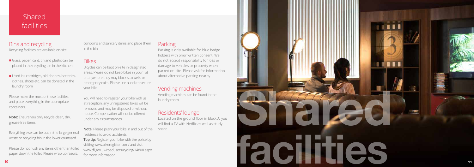# **Shared** facilities

Bins and recycling Recycling facilities are available on-site.

- Glass, paper, card, tin and plastic can be placed in the recycling bin in the kitchen
- Used ink cartridges, old phones, batteries, clothes, shoes etc. can be donated in the laundry room

Please make the most of these facilities and place everything in the appropriate containers.



**Note:** Ensure you only recycle clean, dry, grease-free items.

Everything else can be put in the large general waste or recycling bin in the lower courtyard.

Please do not flush any items other than toilet paper down the toilet. Please wrap up razors,

condoms and sanitary items and place them in the bin.

#### Bikes

Bicycles can be kept on-site in designated areas. Please do not keep bikes in your flat or anywhere they may block stairwells or emergency exits. Please use a lock to secure your bike.

You will need to register your bike with us at reception, any unregistered bikes will be removed and may be disposed of without notice. Compensation will not be offered under any circumstances.

**Note:** Please push your bike in and out of the residence to avoid accidents. **Top tip:** Register your bike with the police by visiting www.bikeregister.com/ and visit www.tfl.gov.uk/roadusers/cycling/14808.aspx for more information. space.

#### **Parking**

Parking is only available for blue badge holders with prior written consent. We do not accept responsibility for loss or damage to vehicles or property when parked on-site. Please ask for information about alternative parking nearby.

#### Vending machines

Vending machines can be found in the laundry room.

#### Residents' lounge

Located on the ground floor in block A, you will find a TV with Netflix as well as study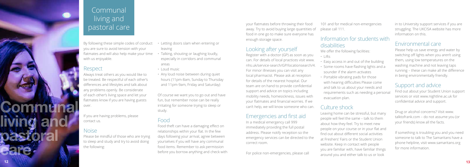# Communal living and pastoral care

By following these simple codes of conduct you are sure to avoid tension with your flatmates and will also help make your time with us enjoyable.

#### Respect

Always treat others as you would like to be treated. Be respectful of each other's differences and lifestyles and talk about any problems openly. Be considerate of each other's living space and let your flatmates know if you are having guests over.

If you are having problems, please contact us.

#### Noise

Please be mindful of those who are trying to sleep and study and try to avoid doing the following:

- Letting doors slam when entering or leaving
- Talking, shouting or laughing loudly, especially in corridors and communal areas
- Loud music
- Any loud noise between during quiet hours (11pm-8am, Sunday to Thursday and 11pm-9am, Friday and Saturday)

Of course we want you to go out and have fun, but remember noise can be really irritating for someone trying to sleep or study.

## Food

Food theft can have a damaging effect on relationships within your flat. In the few days following your arrival, agree between yourselves if you will have any communal food items. Remember to ask permission before you borrow anything and check with your flatmates before throwing their food away. Try to avoid buying large quantities of food in one go to make sure everyone has enough storage space.

#### Looking after yourself

Register with a doctor (GP) as soon as you can. For details of local practices visit www. nhs.uk/service-search/GP/locationsearch/4. For minor illnesses you can visit any local pharmacist. Please ask at reception for details of the nearest hospital. Our team are on hand to provide confidential support and advice on topics including mobility needs, homesickness, issues with your flatmates and financial worries. If we can't help, we will know someone who can.

## Emergencies and first aid

In a medical emergency call 999 immediately providing the full postal address. Please notify reception so the emergency services can be directed to the correct room.

For police non-emergencies, please call

101 and for medical non-emergencies please call 111.

#### Information for students with disabilities

We offer the following facilities:

- Lifts
- Easy access in and out of the building • Some rooms have flashing lights and a sounder if the alarm activates
- Portable vibrating pads for those with hearing difficulties Please come and talk to us about your needs and requirements such as needing a personal evacuation plan.

## Culture shock

Leaving home can be stressful, but many people will feel the same – talk to them about how they feel. Try to meet new people on your course or in your flat and find out about different social activities at Freshers' Fairs or the Student Union website. Keep in contact with people you are familiar with, have familiar things around you and either talk to us or look

in to University support services if you are struggling. The UKCISA website has more information on this.

#### Environmental care

Please help us save energy and water by switching off lights when you aren't using them, using low temperatures on the washing machine and not leaving taps running – these can make all the difference in being environmentally friendly.

#### Support and advice

Find out about your Student Union support services or visit www.nightline.ac.uk for confidential advice and support.

Drug or alcohol concerns? Visit www. talktofrank.com – do not assume you (or your friends) know all the facts.

If something is troubling you and you need someone to talk to The Samaritans have a phone helpline, visit www.samaritans.org for more information.

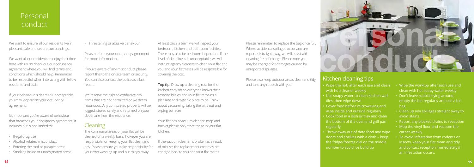- 
- 
- 

# Personal conduct

We want to ensure all our residents live in pleasant, safe and secure surroundings.

We want all our residents to enjoy their time here with us, so check out our occupancy agreement where you will find terms and conditions which should help. Remember to be respectful when interacting with fellow residents and staff.

If your behaviour is deemed unacceptable, you may jeopardise your occupancy agreement.

It's important you're aware of behaviour that breaches your occupancy agreement. It includes but is not limited to:

- Illegal drug use
- Alcohol related misconduct
- Entering the roof or parapet areas
- Smoking inside or undesignated areas

• Threatening or abusive behaviour

Please refer to your occupancy agreement for more information.

If you're aware of any misconduct please report this to the on-site team or security. You can also contact the police as a last resort.

**Top tip:** Draw up a cleaning rota for the kitchen early on so everyone knows their responsibilities and your flat remains a pleasant and hygienic place to be. Think about vacuuming, taking the bins out and wiping surfaces.

We reserve the right to confiscate any items that are not permitted or we deem hazardous. Any confiscated property will be logged, stored safely and returned on your departure from the residence.

#### Cleaning

The communal areas of your flat will be cleaned on a weekly basis, however you are responsible for keeping your flat clean and tidy. Please ensure you take responsibility for your own washing up and put things away.

At least once a term we will inspect your bedroom, kitchen and bathroom facilities. There may also be bedroom inspections if the level of cleanliness is unacceptable, we will instruct agency cleaners to clean your flat and you and your flatmates will be responsible for covering the cost.

Your flat has a vacuum cleaner, mop and bucket,please only store these in your flat kitchen.

If the vacuum cleaner is broken as a result of misuse, the replacement cost may be charged back to you and your flat mates.

Please remember to replace the bag once full. Where accidental spillages occur and are reported straight away, we will assist with cleaning free of charge. Please note you may be charged for damages caused by unreported spillages.

Please also keep outdoor areas clean and tidy and take any rubbish with you.



- Wipe the hob after each use and clean with hob cleaner weekly
- Use soapy water to clean kitchen wall tiles, then wipe down
- Cover food before microwaving and wipe inside and outside regularly
- Cook food in a dish or tray and clean the bottom of the oven and grill pan regularly
- Throw away out of date food and wipe doors and shelves with a cloth – keep the fridge/freezer dial on the middle number to avoid ice build up
- Wipe the worktop after each use and clean with hot soapy water weekly
- Don't leave rubbish lying around, empty the bin regularly and use a bin bag
- Clean up any spillages straight away to avoid stains
- Report any blocked drains to reception
- Mop the vinyl floor and vacuum the carpet weekly
- To avoid infestation from rodents or insects, keep your flat clean and tidy and contact reception immediately if an infestation occurs.

#### Kitchen cleaning tips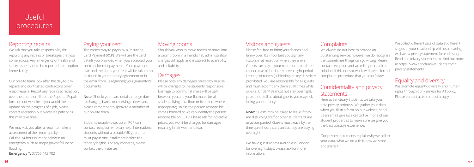# Useful procedures

#### Reporting repairs

We ask that you take responsibility for reporting any repairs or breakages that you come across. Any emergency or health and safety issues should be reported to reception immediately.

Our on-site team look after the day-to-day repairs and our trusted contractors cover major repairs. Report any repairs at reception, over the phone or fill out the Report a Repair form on our website. If you would like an update on the progress of a job, please contact reception but please be patient as this may take time.

We may visit you after a repair to make an assessment of the repair quality. Call the 24-hour number below in an emergency such as major power failure or flooding.

#### **Emergency T:** 07766 443 702

#### Paying your rent

The easiest way to pay is by a Recurring Card Payment (RCP). We will use the card details you provided when you accepted your contract for rent payments. Your payment plan and the dates your rent will be taken can be found in your tenancy agreement or in the email from us regarding your guarantor's documents.

**Note:** Should your card details change due to changing banks or receiving a new card, please remember to speak to a member of our on-site team.

Students unable to set up an RCP can contact reception who can help. International students without a suitable UK guarantor must pay in one installment before the tenancy begins. For any concerns, please contact the on-site team.

#### Moving rooms

Should you wish to move rooms or move into a vacant room in a friend's flat, administration charges will apply and is subject to availability and suitability.

#### Damages

Please note any damages caused by misuse will be charged to the students responsible. Damage to communal areas will be split between you and your flatmates (or all students living on a floor or in a block where appropriate) unless the person responsible comes forward or we can identify the person responsible on CCTV. Please ask for indicative prices, you won't be charged for damages resulting in fair wear and tear.

#### Visitors and guests

Please feel free to bring your friends and family over. It's important you sign any visitors in at reception when they arrive. Guests can stay in your room for up to three consecutive nights in any seven night period. Lending of rooms (subletting) or keys is strictly prohibited. You are responsible for all guests and must accompany them at all times while on-site. Under-18s must not stay overnight. If you do not tell us about guests you may risk losing your tenancy.

**Note:** Guests may be asked to leave if they are disturbing staff or other students or are unaccompanied. Guests must leave by the time quiet hours start unless they are staying overnight.

We have guest rooms available in London for overnight stays, please ask for more information.

#### **Complaints**

We always do our best to provide an outstanding service, however we do recognise that sometimes things can go wrong. Please contact reception and we will try to reach a solution. If this doesn't work, we have a formal complaints procedure that you can follow.

## Confidentiality and privacy statements

Here at Sanctuary Students, we take your data privacy seriously. We gather your data when you fill in a form on our website, send us an email, give us a call or live in one of our student properties to make sure we give you the best possible experience.

Our privacy statements explain why we collect your data, what we do with it, how we store and share it.

We collect different sets of data at different stages of your relationship with us, meaning we have a privacy statement for each stage. Read our privacy statements to find out more at https://www.sanctuary-students.com/ privacy-statements

## Equality and diversity

We promote equality, diversity and human rights through our Fairness for All policy. Please contact us to request a copy.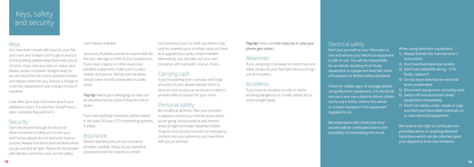When using electronic equipment:

# Keys, safety and security

#### Keys

You have been issued with keys for your flat and room and a swipe card to get in and out of the building, please keep these with you at all times. If you lose your keys or swipe card please contact reception straight away so we can block the lost card to prevent misuse and replace them for you, there is a charge to cover the replacement and change of locks if required.

Look after your keys and never attach your address to them. If a member of staff sees a door unlocked, they will lock it.

#### **Security**

**Top tip:** Name your belongings so they can be identified by the police if they are lost or stolen.

Don't let anyone through the doors or allow someone to follow you in who you don't know, please do not lend your keys to anyone. Always lock doors and windows when you go out and at night. Please do not tamper with window restrictors and use the safety

#### catch where available.

Sanctuary Students cannot be responsible for the loss, damage or theft of your possessions. If you have a laptop or other expensive, portable equipment, make sure it is kept hidden and secure. Money and valuables should never be left unattended in public areas.

**Top tip:** Have a written copy too in case your phone gets stolen.

If you see anything suspicious, please report it. We have 24 hour CCTV monitoring systems in place.

#### **Insurance**

Please read the policy of our insurance provider carefully. Many of your personal possessions will be covered in certain

circumstances such as theft, but others may only be covered up to a certain value so check and upgrade your policy where needed. Alternatively you can take out your own insurance with a provider of your choice.

#### Carrying cash

If you're travelling from overseas with large amounts of cash, please deposit this in a bank as soon as you can as we are unable to provide safes or lockers for your room.

#### Personal safety

Be mindful at all times. Plan your journeys in advance and let your friends know where you're going. Avoid poorly lit and remote areas at night and keep valuables hidden. Program any security numbers or emergency contacts into your phone so you have them with you at all times.

#### Absences

If you are going to be away for more than one week, please let your flatmates know and sign out at reception..

#### **Accidents**

If you have an accident on-site or notice anything dangerous or unsafe, please let us know straight away.

Electrical safety Don't put yourself or your flatmates at risk and ensure your electrical equipment is safe to use. You will be responsible for accidents resulting from faulty equipment or equipment that falls short of European or British safety standards.

Check for visible signs of damage before using electronic equipment, if in doubt do not use it and use a label to inform others not to use it either. Inform the owner or contact reception if it's equipment supplied by us.

Bar extensions with more than four sockets will be confiscated due to the possibility of overloading the circuit.

- 1) Always follows the manufacturer's instructions
- 2) Don't overload electrical sockets
- 3) Don't use makeshift wiring if it's faulty, replace it
- 4) Do not leave switched on electrical items unattended
- 5) Disconnect equipment not being used
- 6) Switch off and disconnect faulty equipment immediately
- 7) Don't run cables under carpet or rugs and don't put flammable materials on or near electrical equipment

We reserve the right to confiscate nonpermitted items or anything deemed hazardous which can be collected upon your departure from the residence.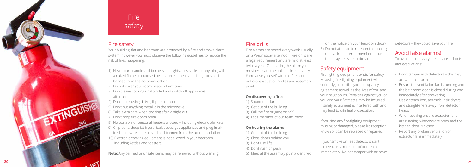## Fire safety

Your building, flat and bedroom are protected by a fire and smoke alarm system; however you must observe the following guidelines to reduce the risk of fires happening.

- 1) Never burn candles, oil burners, tea lights, joss sticks or anything with a naked flame or exposed heat source – these are dangerous and banned from the accommodation
- 2) Do not cover your room heater at any time
- 3) Don't leave cooking unattended and switch off appliances after use
- 4) Don't cook using dirty grill pans or hob
- 5) Don't put anything metallic in the microwave
- 6) Take extra care when cooking after a night out
- 7) Don't prop fire doors open
- 8) No portable or personal heaters allowed including electric blankets
- 9) Chip pans, deep fat fryers, barbecues, gas appliances and plug in air fresheners are a fire hazard and banned from the accommodation 10) Electronic cooking equipment is not allowed in your bedroom, including kettles and toasters.

**Note:** Any banned or unsafe items may be removed without warning.

## Fire drills

Fire alarms are tested every week, usually on a Wednesday afternoon. Fire drills are a legal requirement and are held at least twice a year. On hearing the alarm you must evacuate the building immediately. Familiarise yourself with the fire action notices, evacuation routes and assembly point.

#### **On discovering a fire:**

- 1) Sound the alarm
- 2) Get out of the building
- 3) Call the fire brigade on 999
- 4) Let a member of our team know

#### **On hearing the alarm:**

- 1) Get out of the building
- 2) Close doors behind you
- 3) Don't use lifts
- 4) Don't rush or push
- 5) Meet at the assembly point (identified

on the notice on your bedroom door) 6) Do not attempt to re-enter the building until a fire officer or member of our team say it is safe to do so

#### Safety equipment

Fire fighting equipment exists for safety. Misusing fire-fighting equipment will seriously jeopardise your occupancy agreement as well as the lives of you and your neighbours. Penalties against you or you and your flatmates may be incurred if safety equipment is interfered with and may lead to criminal prosecution.

If you find any fire-fighting equipment missing or damaged, please let reception know so it can be replaced or repaired.

If your smoke or heat detectors start to beep, tell a member of our team immediately. Do not tamper with or cover

# Fire safety

detectors – they could save your life.

## Avoid false alarms!

To avoid unnecessary fire service call outs and evacuations:

- Don't tamper with detectors this may activate the alarm
- Ensure the ventilation fan is running and the bathroom door is closed during and immediately after showering
- Use a steam iron, aerosols, hair dryers and straighteners away from detector heads
- When cooking ensure extractor fans are running, windows are open and the kitchen door is closed
- Report any broken ventilation or extractor fans immediately

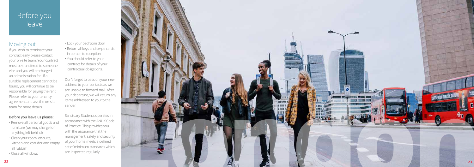# Before you leave

#### Moving out

If you wish to terminate your contract early please contact your on-site team. Your contract must be transfered to someone else and you will be charged an administration fee. If a suitable replacement cannot be found, you will continue to be responsible for paying the rent. Please refer to your tenancy agreement and ask the on-site team for more details.

#### **Before you leave us please:**

- Remove all personal goods and furniture (we may charge for anything left behind)
- Clean your room, en-suite, kitchen and corridor and empty all rubbish
- Close all windows



• Lock your bedroom door • Return all keys and swipe cards in person to reception • You should refer to your contract for details of your contractual obligations.

Don't forget to pass on your new address to your contacts as we are unable to forward mail. After your departure, we will return any items addressed to you to the sender.

Sanctuary Students operates in accordance with the ANUK Code of Practice. This provides you with the assurance that the management, safety and security of your home meets a defined set of minimum standards which are inspected regularly.